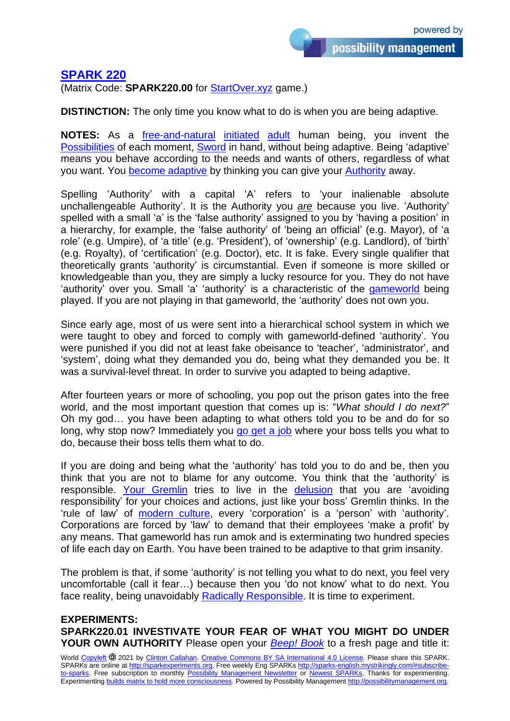## **[SPARK 220](http://sparks-english.mystrikingly.com/)**

(Matrix Code: **SPARK220.00** for [StartOver.xyz](http://startoverxyz.mystrikingly.com/) game.)

**DISTINCTION:** The only time you know what to do is when you are being adaptive.

**NOTES:** As a *[free-and-natural](http://egostate.mystrikingly.com/) [initiated](http://initiations.mystrikingly.com/) [adult](http://adulthood.mystrikingly.com/)* human being, you invent the [Possibilities](http://possibilitator.mystrikingly.com/) of each moment, [Sword](http://swordofclarity.mystrikingly.com/) in hand, without being adaptive. Being 'adaptive' means you behave according to the needs and wants of others, regardless of what you want. You [become adaptive](http://beadaptive.mystrikingly.com/) by thinking you can give your [Authority](http://authority.mystrikingly.com/) away.

Spelling 'Authority' with a capital 'A' refers to 'your inalienable absolute unchallengeable Authority'. It is the Authority you *are* because you live. 'Authority' spelled with a small 'a' is the 'false authority' assigned to you by 'having a position' in a hierarchy, for example, the 'false authority' of 'being an official' (e.g. Mayor), of 'a role' (e.g. Umpire), of 'a title' (e.g. 'President'), of 'ownership' (e.g. Landlord), of 'birth' (e.g. Royalty), of 'certification' (e.g. Doctor), etc. It is fake. Every single qualifier that theoretically grants 'authority' is circumstantial. Even if someone is more skilled or knowledgeable than you, they are simply a lucky resource for you. They do not have 'authority' over you. Small 'a' 'authority' is a characteristic of the [gameworld](http://gameworldbuilder.mystrikingly.com/) being played. If you are not playing in that gameworld, the 'authority' does not own you.

Since early age, most of us were sent into a hierarchical school system in which we were taught to obey and forced to comply with gameworld-defined 'authority'. You were punished if you did not at least fake obeisance to 'teacher', 'administrator', and 'system', doing what they demanded you do, being what they demanded you be. It was a survival-level threat. In order to survive you adapted to being adaptive.

After fourteen years or more of schooling, you pop out the prison gates into the free world, and the most important question that comes up is: "*What should I do next?*" Oh my god… you have been adapting to what others told you to be and do for so long, why stop now? Immediately you [go get a job](http://youandyourjob.mystrikingly.com/) where your boss tells you what to do, because their boss tells them what to do.

If you are doing and being what the 'authority' has told you to do and be, then you think that you are not to blame for any outcome. You think that the 'authority' is responsible. [Your Gremlin](http://yourgremlin.mystrikingly.com/) tries to live in the [delusion](http://disillusionment.mystrikingly.com/) that you are 'avoiding responsibility' for your choices and actions, just like your boss' Gremlin thinks. In the 'rule of law' of [modern culture,](http://patriarchy.mystrikingly.com/) every 'corporation' is a 'person' with 'authority'. Corporations are forced by 'law' to demand that their employees 'make a profit' by any means. That gameworld has run amok and is exterminating two hundred species of life each day on Earth. You have been trained to be adaptive to that grim insanity.

The problem is that, if some 'authority' is not telling you what to do next, you feel very uncomfortable (call it fear…) because then you 'do not know' what to do next. You face reality, being unavoidably [Radically Responsible.](http://radicalresponsibility.mystrikingly.com/) It is time to experiment.

## **EXPERIMENTS: SPARK220.01 INVESTIVATE YOUR FEAR OF WHAT YOU MIGHT DO UNDER YOUR OWN AUTHORITY** Please open your *[Beep! Book](http://beepbook.mystrikingly.com/)* to a fresh page and title it:

World [Copyleft](https://en.wikipedia.org/wiki/Copyleft) <sup>2021</sup> by [Clinton Callahan.](http://clintoncallahan.mystrikingly.com/) Creative Commons [BY SA International 4.0](https://creativecommons.org/licenses/by-sa/4.0/) License. Please share this SPARK. SPARKs are online at [http://sparkexperiments.org.](http://sparks-english.mystrikingly.com/) Free weekly Eng SPARKs [http://sparks-english.mystrikingly.com/#subscribe](http://sparks-english.mystrikingly.com/#subscribe-to-sparks)[to-sparks.](http://sparks-english.mystrikingly.com/#subscribe-to-sparks) Free subscription to monthly [Possibility Management Newsletter](https://possibilitymanagement.org/news/) or Newest [SPARKs.](https://www.clintoncallahan.org/newsletter-1) Thanks for experimenting. Experimenting builds matrix to hold [more consciousness.](http://spaceport.mystrikingly.com/) Powered by Possibility Management [http://possibilitymanagement.org.](http://possibilitymanagement.org/)